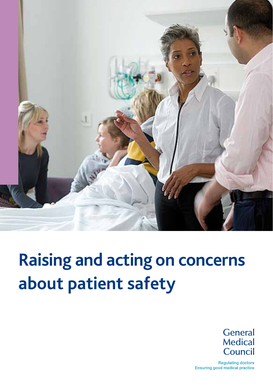

# **Raising and acting on concerns about patient safety**

General Medical Council

**Regulating doctors** Ensuring good medical practice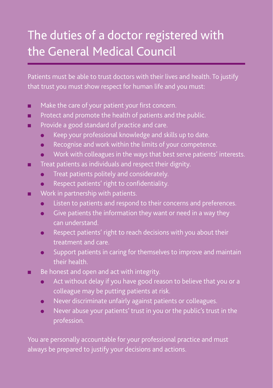## The duties of a doctor registered with the General Medical Council

Patients must be able to trust doctors with their lives and health. To justify that trust you must show respect for human life and you must:

- $\blacksquare$  Make the care of your patient your first concern.
- **n** Protect and promote the health of patients and the public.
- **n** Provide a good standard of practice and care.
	- **IDED** Keep your professional knowledge and skills up to date.
	- **IDED** Recognise and work within the limits of your competence.
	- <sup>l</sup> Work with colleagues in the ways that best serve patients' interests.
- **n** Treat patients as individuals and respect their dignity.
	- Treat patients politely and considerately.
	- **•** Respect patients' right to confidentiality.
- $\blacksquare$  Work in partnership with patients.
	- Listen to patients and respond to their concerns and preferences.
	- $\bullet$  Give patients the information they want or need in a way they can understand.
	- **•** Respect patients' right to reach decisions with you about their treatment and care.
	- $\bullet$  Support patients in caring for themselves to improve and maintain their health.
- Be honest and open and act with integrity.
	- $\bullet$  Act without delay if you have good reason to believe that you or a colleague may be putting patients at risk.
	- **In Never discriminate unfairly against patients or colleagues.**
	- Never abuse your patients' trust in you or the public's trust in the profession.

You are personally accountable for your professional practice and must always be prepared to justify your decisions and actions.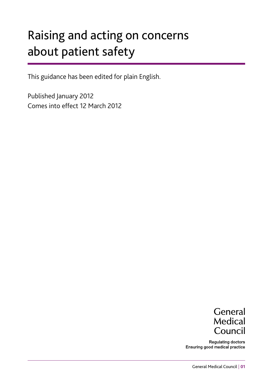## Raising and acting on concerns about patient safety

This guidance has been edited for plain English.

Published January 2012 Comes into effect 12 March 2012



**Regulating doctors** Ensuring good medical practice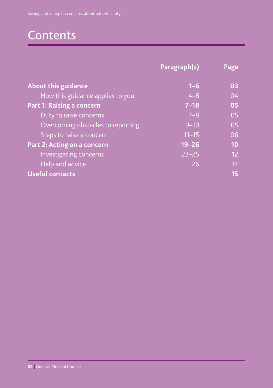## Contents

|                                   | Paragraph(s) | Page |
|-----------------------------------|--------------|------|
| <b>About this guidance</b>        | $1 - 6$      | 03   |
| How this guidance applies to you  | $4 - 6$      | 04   |
| Part 1: Raising a concern         | $7 - 18$     | 05   |
| Duty to raise concerns            | $7 - 8$      | 05   |
| Overcoming obstacles to reporting | $9 - 10$     | 05   |
| Steps to raise a concern          | $11 - 15$    | 06   |
| Part 2: Acting on a concern       | $19 - 26$    | 10   |
| Investigating concerns            | $23 - 25$    | 12   |
| Help and advice                   | 26           | 14   |
| <b>Useful contacts</b>            |              | 15   |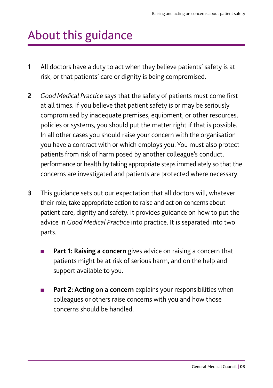## About this guidance

- **1** All doctors have a duty to act when they believe patients' safety is at risk, or that patients' care or dignity is being compromised.
- **2** *Good Medical Practice* says that the safety of patients must come first at all times. If you believe that patient safety is or may be seriously compromised by inadequate premises, equipment, or other resources, policies or systems, you should put the matter right if that is possible. In all other cases you should raise your concern with the organisation you have a contract with or which employs you. You must also protect patients from risk of harm posed by another colleague's conduct, performance or health by taking appropriate steps immediately so that the concerns are investigated and patients are protected where necessary.
- **3** This guidance sets out our expectation that all doctors will, whatever their role, take appropriate action to raise and act on concerns about patient care, dignity and safety. It provides guidance on how to put the advice in *Good Medical Practice* into practice. It is separated into two parts.
	- Part 1: Raising a concern gives advice on raising a concern that patients might be at risk of serious harm, and on the help and support available to you.
	- Part 2: Acting on a concern explains your responsibilities when colleagues or others raise concerns with you and how those concerns should be handled.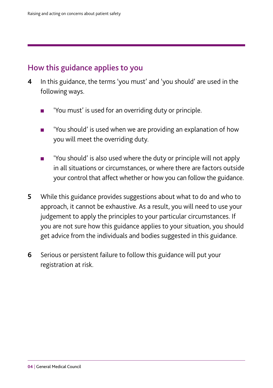## How this guidance applies to you

- **4** In this guidance, the terms 'you must' and 'you should' are used in the following ways.
	- 'You must' is used for an overriding duty or principle.
	- 'You should' is used when we are providing an explanation of how you will meet the overriding duty.
	- 'You should' is also used where the duty or principle will not apply in all situations or circumstances, or where there are factors outside your control that affect whether or how you can follow the guidance.
- **5** While this guidance provides suggestions about what to do and who to approach, it cannot be exhaustive. As a result, you will need to use your judgement to apply the principles to your particular circumstances. If you are not sure how this guidance applies to your situation, you should get advice from the individuals and bodies suggested in this guidance.
- **6** Serious or persistent failure to follow this guidance will put your registration at risk.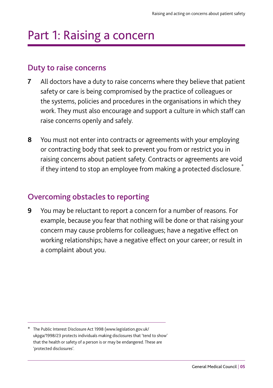## Part 1: Raising a concern

### Duty to raise concerns

- **7** All doctors have a duty to raise concerns where they believe that patient safety or care is being compromised by the practice of colleagues or the systems, policies and procedures in the organisations in which they work. They must also encourage and support a culture in which staff can raise concerns openly and safely.
- **8** You must not enter into contracts or agreements with your employing or contracting body that seek to prevent you from or restrict you in raising concerns about patient safety. Contracts or agreements are void if they intend to stop an employee from making a protected disclosure.<sup>\*</sup>

## Overcoming obstacles to reporting

**9** You may be reluctant to report a concern for a number of reasons. For example, because you fear that nothing will be done or that raising your concern may cause problems for colleagues; have a negative effect on working relationships; have a negative effect on your career; or result in a complaint about you.

<sup>\*</sup> The Public Interest Disclosure Act 1998 (www.legislation.gov.uk/ ukpga/1998/23 protects individuals making disclosures that 'tend to show' that the health or safety of a person is or may be endangered. These are 'protected disclosures'.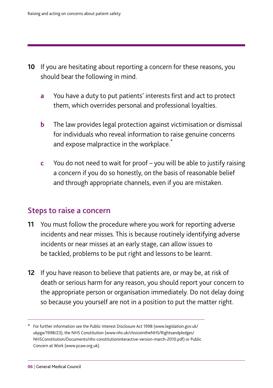- **10** If you are hesitating about reporting a concern for these reasons, you should bear the following in mind.
	- **a** You have a duty to put patients' interests first and act to protect them, which overrides personal and professional loyalties.
	- **b** The law provides legal protection against victimisation or dismissal for individuals who reveal information to raise genuine concerns and expose malpractice in the workplace.<sup>\*</sup>
	- **c** You do not need to wait for proof you will be able to justify raising a concern if you do so honestly, on the basis of reasonable belief and through appropriate channels, even if you are mistaken.

### Steps to raise a concern

- **11** You must follow the procedure where you work for reporting adverse incidents and near misses. This is because routinely identifying adverse incidents or near misses at an early stage, can allow issues to be tackled, problems to be put right and lessons to be learnt.
- **12** If you have reason to believe that patients are, or may be, at risk of death or serious harm for any reason, you should report your concern to the appropriate person or organisation immediately. Do not delay doing so because you yourself are not in a position to put the matter right.

<sup>\*</sup> For further information see the Public Interest Disclosure Act 1998 (www.legislation.gov.uk/ ukpga/1998/23), the NHS Constitution (www.nhs.uk/choiceintheNHS/Rightsandpledges/ NHSConstitution/Documents/nhs-constitutioninteractive-version-march-2010.pdf) or Public Concern at Work (www.pcaw.org.uk).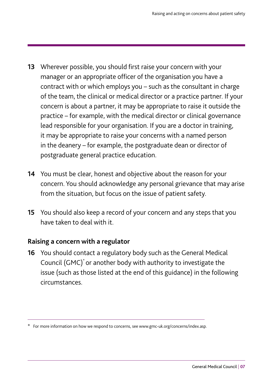- **13** Wherever possible, you should first raise your concern with your manager or an appropriate officer of the organisation you have a contract with or which employs you – such as the consultant in charge of the team, the clinical or medical director or a practice partner. If your concern is about a partner, it may be appropriate to raise it outside the practice – for example, with the medical director or clinical governance lead responsible for your organisation. If you are a doctor in training, it may be appropriate to raise your concerns with a named person in the deanery – for example, the postgraduate dean or director of postgraduate general practice education.
- **14** You must be clear, honest and objective about the reason for your concern. You should acknowledge any personal grievance that may arise from the situation, but focus on the issue of patient safety.
- **15** You should also keep a record of your concern and any steps that you have taken to deal with it.

### **Raising a concern with a regulator**

**16** You should contact a regulatory body such as the General Medical Council (GMC)\* or another body with authority to investigate the issue (such as those listed at the end of this guidance) in the following circumstances.

<sup>\*</sup> For more information on how we respond to concerns, see www.gmc-uk.org/concerns/index.asp.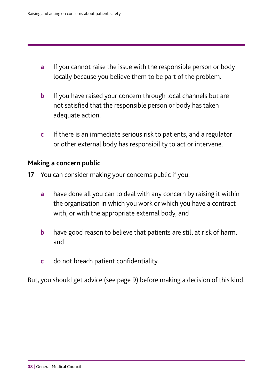- **a** If you cannot raise the issue with the responsible person or body locally because you believe them to be part of the problem.
- **b** If you have raised your concern through local channels but are not satisfied that the responsible person or body has taken adequate action.
- **c** If there is an immediate serious risk to patients, and a regulator or other external body has responsibility to act or intervene.

#### **Making a concern public**

- **17** You can consider making your concerns public if you:
	- **a** have done all you can to deal with any concern by raising it within the organisation in which you work or which you have a contract with, or with the appropriate external body, and
	- **b** have good reason to believe that patients are still at risk of harm, and
	- **c** do not breach patient confidentiality.

But, you should get advice (see page 9) before making a decision of this kind.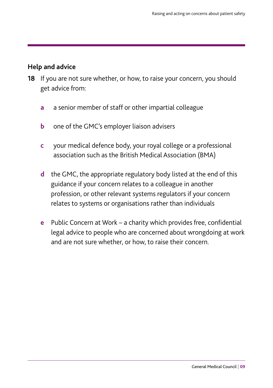### **Help and advice**

- **18** If you are not sure whether, or how, to raise your concern, you should get advice from:
	- **a** a senior member of staff or other impartial colleague
	- **b** one of the GMC's employer liaison advisers
	- **c** your medical defence body, your royal college or a professional association such as the British Medical Association (BMA)
	- **d** the GMC, the appropriate regulatory body listed at the end of this guidance if your concern relates to a colleague in another profession, or other relevant systems regulators if your concern relates to systems or organisations rather than individuals
	- **e** Public Concern at Work a charity which provides free, confidential legal advice to people who are concerned about wrongdoing at work and are not sure whether, or how, to raise their concern.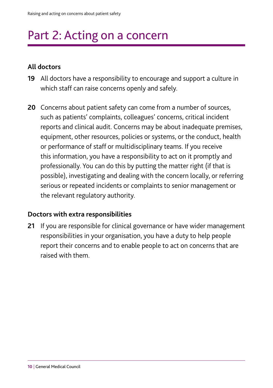## Part 2: Acting on a concern

### **All doctors**

- **19** All doctors have a responsibility to encourage and support a culture in which staff can raise concerns openly and safely.
- **20** Concerns about patient safety can come from a number of sources, such as patients' complaints, colleagues' concerns, critical incident reports and clinical audit. Concerns may be about inadequate premises, equipment, other resources, policies or systems, or the conduct, health or performance of staff or multidisciplinary teams. If you receive this information, you have a responsibility to act on it promptly and professionally. You can do this by putting the matter right (if that is possible), investigating and dealing with the concern locally, or referring serious or repeated incidents or complaints to senior management or the relevant regulatory authority.

#### **Doctors with extra responsibilities**

**21** If you are responsible for clinical governance or have wider management responsibilities in your organisation, you have a duty to help people report their concerns and to enable people to act on concerns that are raised with them.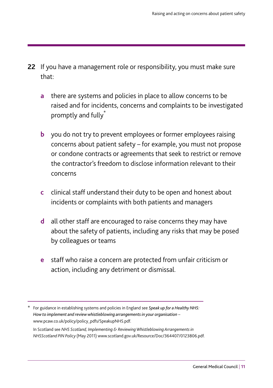- **22** If you have a management role or responsibility, you must make sure that:
	- **a** there are systems and policies in place to allow concerns to be raised and for incidents, concerns and complaints to be investigated promptly and fully<sup>\*</sup>
	- **b** you do not try to prevent employees or former employees raising concerns about patient safety – for example, you must not propose or condone contracts or agreements that seek to restrict or remove the contractor's freedom to disclose information relevant to their concerns
	- **c** clinical staff understand their duty to be open and honest about incidents or complaints with both patients and managers
	- **d** all other staff are encouraged to raise concerns they may have about the safety of patients, including any risks that may be posed by colleagues or teams
	- **e** staff who raise a concern are protected from unfair criticism or action, including any detriment or dismissal.

In Scotland see *NHS Scotland, Implementing & Reviewing Whistleblowing Arrangements in NHSScotland PIN Policy* (May 2011) www.scotland.gov.uk/Resource/Doc/364407/0123806.pdf.

<sup>\*</sup> For guidance in establishing systems and policies in England see *Speak up for a Healthy NHS: How to implement and review whistleblowing arrangements in your organisation* – www.pcaw.co.uk/policy/policy\_pdfs/SpeakupNHS.pdf.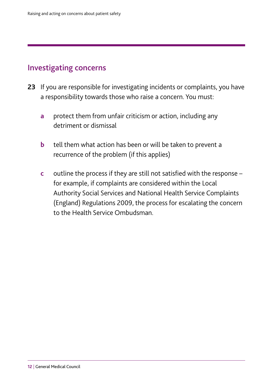## Investigating concerns

- **23** If you are responsible for investigating incidents or complaints, you have a responsibility towards those who raise a concern. You must:
	- **a** protect them from unfair criticism or action, including any detriment or dismissal
	- **b** tell them what action has been or will be taken to prevent a recurrence of the problem (if this applies)
	- **c** outline the process if they are still not satisfied with the response for example, if complaints are considered within the Local Authority Social Services and National Health Service Complaints (England) Regulations 2009, the process for escalating the concern to the Health Service Ombudsman.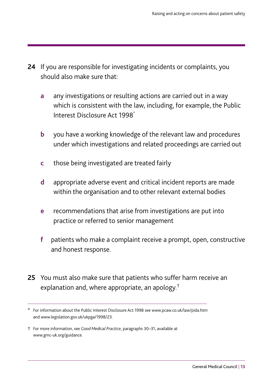- **24** If you are responsible for investigating incidents or complaints, you should also make sure that:
	- **a** any investigations or resulting actions are carried out in a way which is consistent with the law, including, for example, the Public Interest Disclosure Act 1998\*
	- **b** you have a working knowledge of the relevant law and procedures under which investigations and related proceedings are carried out
	- **c** those being investigated are treated fairly
	- **d** appropriate adverse event and critical incident reports are made within the organisation and to other relevant external bodies
	- **e** recommendations that arise from investigations are put into practice or referred to senior management
	- **f** patients who make a complaint receive a prompt, open, constructive and honest response.
- **25** You must also make sure that patients who suffer harm receive an explanation and, where appropriate, an apology.†

<sup>\*</sup> For information about the Public Interest Disclosure Act 1998 see www.pcaw.co.uk/law/pida.htm and www.legislation.gov.uk/ukpga/1998/23.

<sup>†</sup> For more information, see *Good Medical Practice*, paragraphs 30–31, available at www.gmc-uk.org/guidance.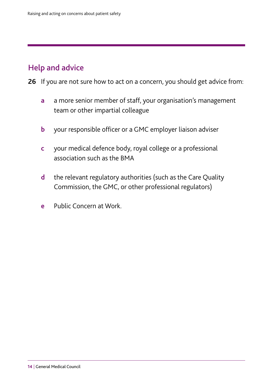## Help and advice

- **26** If you are not sure how to act on a concern, you should get advice from:
	- **a** a more senior member of staff, your organisation's management team or other impartial colleague
	- **b** your responsible officer or a GMC employer liaison adviser
	- **c** your medical defence body, royal college or a professional association such as the BMA
	- **d** the relevant regulatory authorities (such as the Care Quality Commission, the GMC, or other professional regulators)
	- **e** Public Concern at Work.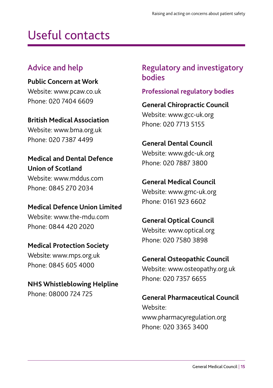## Useful contacts

## Advice and help

**Public Concern at Work** Website: www.pcaw.co.uk Phone: 020 7404 6609

**British Medical Association** Website: www.bma.org.uk Phone: 020 7387 4499

## **Medical and Dental Defence Union of Scotland**

Website: www.mddus.com Phone: 0845 270 2034

**Medical Defence Union Limited** Website: www.the-mdu.com Phone: 0844 420 2020

## **Medical Protection Society** Website: www.mps.org.uk Phone: 0845 605 4000

## **NHS Whistleblowing Helpline** Phone: 08000 724 725

## Regulatory and investigatory bodies

## **Professional regulatory bodies**

**General Chiropractic Council** Website: www.gcc-uk.org Phone: 020 7713 5155

## **General Dental Council**

Website: www.gdc-uk.org Phone: 020 7887 3800

## **General Medical Council**

Website: www.gmc-uk.org Phone: 0161 923 6602

## **General Optical Council**

Website: www.optical.org Phone: 020 7580 3898

## **General Osteopathic Council**

Website: www.osteopathy.org.uk Phone: 020 7357 6655

### **General Pharmaceutical Council**

Website: www.pharmacyregulation.org Phone: 020 3365 3400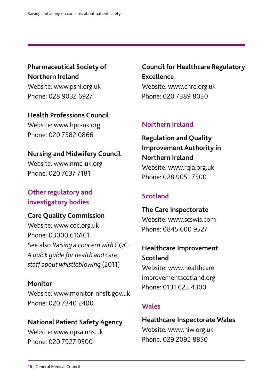**Pharmaceutical Society of Northern Ireland** Website: www.psni.org.uk

Phone: 028 9032 6927

**Health Professions Council** Website: www.hpc-uk.org Phone: 020 7582 0866

**Nursing and Midwifery Council** Website: www.nmc-uk.org Phone: 020 7637 7181

## **Other regulatory and investigatory bodies**

#### **Care Quality Commission**

Website: www.cqc.org.uk Phone: 03000 616161 See also *Raising a concern with CQC: A quick guide for health and care staff about whistleblowing* (2011)

#### **Monitor**

Website: www.monitor-nhsft.gov.uk Phone: 020 7340 2400

### **National Patient Safety Agency**

Website: www.npsa.nhs.uk Phone: 020 7927 9500

**Council for Healthcare Regulatory Excellence** Website: www.chre.org.uk Phone: 020 7389 8030

### **Northern Ireland**

## **Regulation and Quality Improvement Authority in Northern Ireland**

Website: www.rqia.org.uk Phone: 028 9051 7500

## **Scotland**

## **The Care Inspectorate** Website: www.scswis.com Phone: 0845 600 9527

## **Healthcare Improvement Scotland**

Website: www.healthcare improvementscotland.org Phone: 0131 623 4300

### **Wales**

### **Healthcare Inspectorate Wales** Website: www.hiw.org.uk Phone: 029 2092 8850